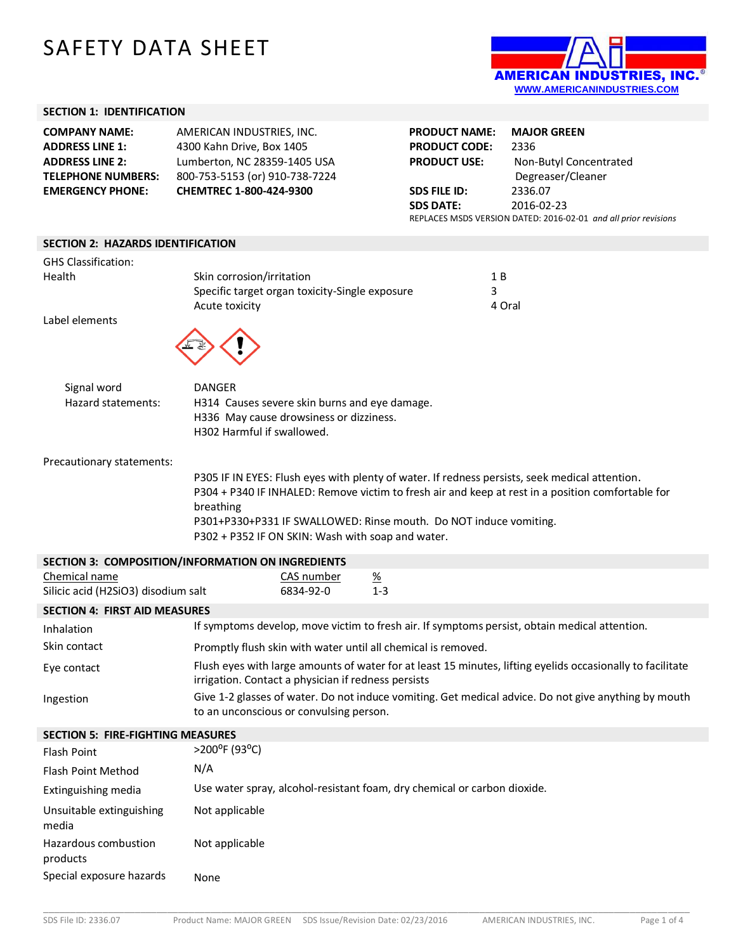# SAFETY DATA SHEET



#### **SECTION 1: IDENTIFICATION**

| <b>COMPANY NAME:</b>      | AMERICAN INDUSTRIES, INC.      | <b>PRODUCT NAME:</b>                                            | <b>MAJOR GREEN</b>     |
|---------------------------|--------------------------------|-----------------------------------------------------------------|------------------------|
| <b>ADDRESS LINE 1:</b>    | 4300 Kahn Drive, Box 1405      | <b>PRODUCT CODE:</b>                                            | 2336                   |
| <b>ADDRESS LINE 2:</b>    | Lumberton, NC 28359-1405 USA   | <b>PRODUCT USE:</b>                                             | Non-Butyl Concentrated |
| <b>TELEPHONE NUMBERS:</b> | 800-753-5153 (or) 910-738-7224 |                                                                 | Degreaser/Cleaner      |
| <b>EMERGENCY PHONE:</b>   | CHEMTREC 1-800-424-9300        | SDS FILE ID:                                                    | 2336.07                |
|                           |                                | <b>SDS DATE:</b>                                                | 2016-02-23             |
|                           |                                | REPLACES MSDS VERSION DATED: 2016-02-01 and all prior revisions |                        |
|                           |                                |                                                                 |                        |

#### **SECTION 2: HAZARDS IDENTIFICATION**

| <b>GHS Classification:</b>                           |                                                                                                                                                                   |        |  |  |  |
|------------------------------------------------------|-------------------------------------------------------------------------------------------------------------------------------------------------------------------|--------|--|--|--|
| Health                                               | Skin corrosion/irritation                                                                                                                                         | 1 B    |  |  |  |
|                                                      | Specific target organ toxicity-Single exposure                                                                                                                    | 3      |  |  |  |
| Label elements                                       | Acute toxicity                                                                                                                                                    | 4 Oral |  |  |  |
|                                                      |                                                                                                                                                                   |        |  |  |  |
| Signal word                                          | <b>DANGER</b>                                                                                                                                                     |        |  |  |  |
| Hazard statements:                                   | H314 Causes severe skin burns and eye damage.                                                                                                                     |        |  |  |  |
|                                                      | H336 May cause drowsiness or dizziness.                                                                                                                           |        |  |  |  |
|                                                      | H302 Harmful if swallowed.                                                                                                                                        |        |  |  |  |
| Precautionary statements:                            |                                                                                                                                                                   |        |  |  |  |
|                                                      | P305 IF IN EYES: Flush eyes with plenty of water. If redness persists, seek medical attention.                                                                    |        |  |  |  |
|                                                      | P304 + P340 IF INHALED: Remove victim to fresh air and keep at rest in a position comfortable for                                                                 |        |  |  |  |
|                                                      | breathing                                                                                                                                                         |        |  |  |  |
|                                                      | P301+P330+P331 IF SWALLOWED: Rinse mouth. Do NOT induce vomiting.<br>P302 + P352 IF ON SKIN: Wash with soap and water.                                            |        |  |  |  |
|                                                      |                                                                                                                                                                   |        |  |  |  |
|                                                      | SECTION 3: COMPOSITION/INFORMATION ON INGREDIENTS                                                                                                                 |        |  |  |  |
| Chemical name<br>Silicic acid (H2SiO3) disodium salt | <u>CAS number</u><br><u>%</u><br>$1 - 3$<br>6834-92-0                                                                                                             |        |  |  |  |
| <b>SECTION 4: FIRST AID MEASURES</b>                 |                                                                                                                                                                   |        |  |  |  |
| Inhalation                                           | If symptoms develop, move victim to fresh air. If symptoms persist, obtain medical attention.                                                                     |        |  |  |  |
| Skin contact                                         | Promptly flush skin with water until all chemical is removed.                                                                                                     |        |  |  |  |
| Eye contact                                          | Flush eyes with large amounts of water for at least 15 minutes, lifting eyelids occasionally to facilitate<br>irrigation. Contact a physician if redness persists |        |  |  |  |
| Ingestion                                            | Give 1-2 glasses of water. Do not induce vomiting. Get medical advice. Do not give anything by mouth                                                              |        |  |  |  |
| to an unconscious or convulsing person.              |                                                                                                                                                                   |        |  |  |  |
| <b>SECTION 5: FIRE-FIGHTING MEASURES</b>             |                                                                                                                                                                   |        |  |  |  |
| <b>Flash Point</b>                                   | >200°F (93°C)                                                                                                                                                     |        |  |  |  |
| Flash Point Method                                   | N/A                                                                                                                                                               |        |  |  |  |
| Extinguishing media                                  | Use water spray, alcohol-resistant foam, dry chemical or carbon dioxide.                                                                                          |        |  |  |  |
| Unsuitable extinguishing<br>media                    | Not applicable                                                                                                                                                    |        |  |  |  |
| Hazardous combustion<br>products                     | Not applicable                                                                                                                                                    |        |  |  |  |
| Special exposure hazards                             | None                                                                                                                                                              |        |  |  |  |

\_\_\_\_\_\_\_\_\_\_\_\_\_\_\_\_\_\_\_\_\_\_\_\_\_\_\_\_\_\_\_\_\_\_\_\_\_\_\_\_\_\_\_\_\_\_\_\_\_\_\_\_\_\_\_\_\_\_\_\_\_\_\_\_\_\_\_\_\_\_\_\_\_\_\_\_\_\_\_\_\_\_\_\_\_\_\_\_\_\_\_\_\_\_\_\_\_\_\_\_\_\_\_\_\_\_\_\_\_\_\_\_\_\_\_\_\_\_\_\_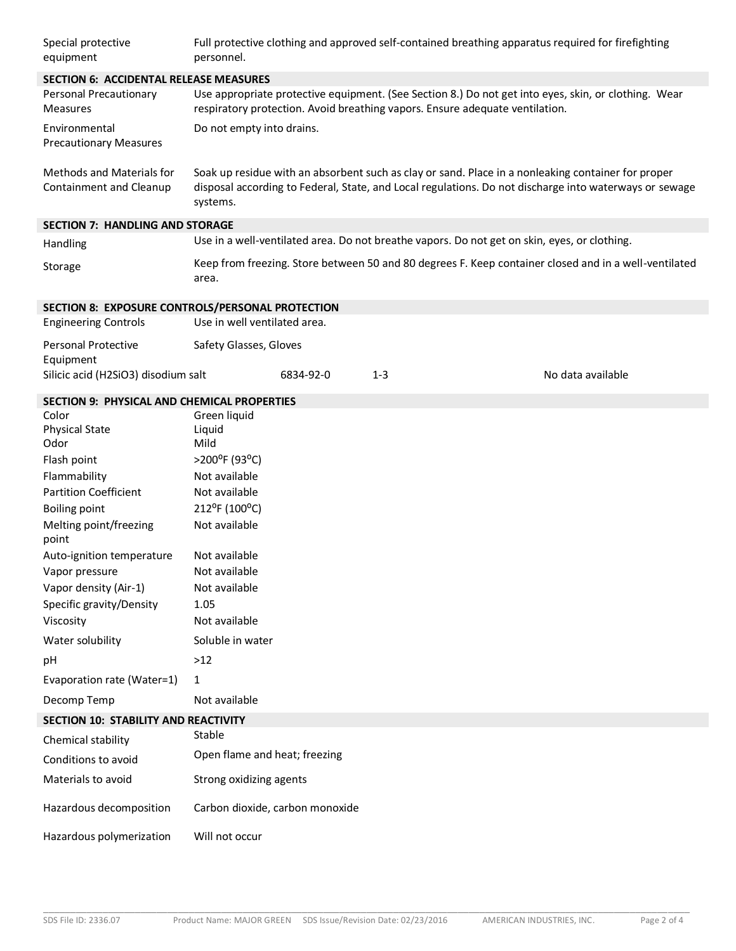| Special protective<br>equipment                      | Full protective clothing and approved self-contained breathing apparatus required for firefighting<br>personnel.                                                                                                         |           |                                                                                              |                   |
|------------------------------------------------------|--------------------------------------------------------------------------------------------------------------------------------------------------------------------------------------------------------------------------|-----------|----------------------------------------------------------------------------------------------|-------------------|
| <b>SECTION 6: ACCIDENTAL RELEASE MEASURES</b>        |                                                                                                                                                                                                                          |           |                                                                                              |                   |
| Personal Precautionary<br><b>Measures</b>            | Use appropriate protective equipment. (See Section 8.) Do not get into eyes, skin, or clothing. Wear<br>respiratory protection. Avoid breathing vapors. Ensure adequate ventilation.                                     |           |                                                                                              |                   |
| Environmental<br><b>Precautionary Measures</b>       | Do not empty into drains.                                                                                                                                                                                                |           |                                                                                              |                   |
| Methods and Materials for<br>Containment and Cleanup | Soak up residue with an absorbent such as clay or sand. Place in a nonleaking container for proper<br>disposal according to Federal, State, and Local regulations. Do not discharge into waterways or sewage<br>systems. |           |                                                                                              |                   |
| <b>SECTION 7: HANDLING AND STORAGE</b>               |                                                                                                                                                                                                                          |           |                                                                                              |                   |
| Handling                                             |                                                                                                                                                                                                                          |           | Use in a well-ventilated area. Do not breathe vapors. Do not get on skin, eyes, or clothing. |                   |
| Storage                                              | Keep from freezing. Store between 50 and 80 degrees F. Keep container closed and in a well-ventilated<br>area.                                                                                                           |           |                                                                                              |                   |
| SECTION 8: EXPOSURE CONTROLS/PERSONAL PROTECTION     |                                                                                                                                                                                                                          |           |                                                                                              |                   |
| <b>Engineering Controls</b>                          | Use in well ventilated area.                                                                                                                                                                                             |           |                                                                                              |                   |
| <b>Personal Protective</b>                           | Safety Glasses, Gloves                                                                                                                                                                                                   |           |                                                                                              |                   |
| Equipment<br>Silicic acid (H2SiO3) disodium salt     |                                                                                                                                                                                                                          | 6834-92-0 | $1 - 3$                                                                                      | No data available |
|                                                      |                                                                                                                                                                                                                          |           |                                                                                              |                   |
| <b>SECTION 9: PHYSICAL AND CHEMICAL PROPERTIES</b>   |                                                                                                                                                                                                                          |           |                                                                                              |                   |
| Color                                                | Green liquid                                                                                                                                                                                                             |           |                                                                                              |                   |
| <b>Physical State</b><br>Odor                        | Liquid<br>Mild                                                                                                                                                                                                           |           |                                                                                              |                   |
| Flash point                                          | >200°F (93°C)                                                                                                                                                                                                            |           |                                                                                              |                   |
| Flammability                                         | Not available                                                                                                                                                                                                            |           |                                                                                              |                   |
| <b>Partition Coefficient</b>                         | Not available                                                                                                                                                                                                            |           |                                                                                              |                   |
| <b>Boiling point</b>                                 | 212°F (100°C)                                                                                                                                                                                                            |           |                                                                                              |                   |
| Melting point/freezing<br>point                      | Not available                                                                                                                                                                                                            |           |                                                                                              |                   |
| Auto-ignition temperature                            | Not available                                                                                                                                                                                                            |           |                                                                                              |                   |
| Vapor pressure                                       | Not available                                                                                                                                                                                                            |           |                                                                                              |                   |
| Vapor density (Air-1)                                | Not available                                                                                                                                                                                                            |           |                                                                                              |                   |
| Specific gravity/Density                             | 1.05                                                                                                                                                                                                                     |           |                                                                                              |                   |
| Viscosity                                            | Not available                                                                                                                                                                                                            |           |                                                                                              |                   |
| Water solubility                                     | Soluble in water                                                                                                                                                                                                         |           |                                                                                              |                   |
| рH                                                   | >12                                                                                                                                                                                                                      |           |                                                                                              |                   |
| Evaporation rate (Water=1)                           | 1                                                                                                                                                                                                                        |           |                                                                                              |                   |
| Decomp Temp                                          | Not available                                                                                                                                                                                                            |           |                                                                                              |                   |
| SECTION 10: STABILITY AND REACTIVITY                 |                                                                                                                                                                                                                          |           |                                                                                              |                   |
| Chemical stability                                   | Stable                                                                                                                                                                                                                   |           |                                                                                              |                   |
| Conditions to avoid                                  | Open flame and heat; freezing                                                                                                                                                                                            |           |                                                                                              |                   |
| Materials to avoid                                   | Strong oxidizing agents                                                                                                                                                                                                  |           |                                                                                              |                   |
| Hazardous decomposition                              | Carbon dioxide, carbon monoxide                                                                                                                                                                                          |           |                                                                                              |                   |
| Hazardous polymerization                             | Will not occur                                                                                                                                                                                                           |           |                                                                                              |                   |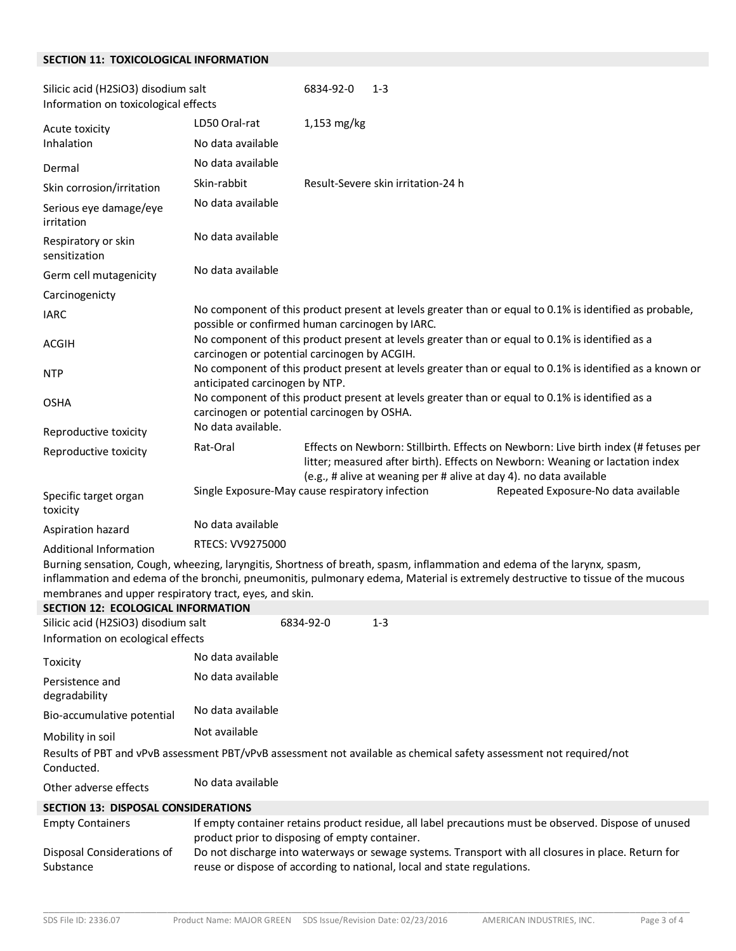#### **SECTION 11: TOXICOLOGICAL INFORMATION**

| Silicic acid (H2SiO3) disodium salt<br>Information on toxicological effects |                                                                                                                                                            | 6834-92-0     | $1 - 3$                                                            |                                                                                                                                                                      |
|-----------------------------------------------------------------------------|------------------------------------------------------------------------------------------------------------------------------------------------------------|---------------|--------------------------------------------------------------------|----------------------------------------------------------------------------------------------------------------------------------------------------------------------|
| Acute toxicity<br>Inhalation                                                | LD50 Oral-rat                                                                                                                                              | $1,153$ mg/kg |                                                                    |                                                                                                                                                                      |
|                                                                             | No data available                                                                                                                                          |               |                                                                    |                                                                                                                                                                      |
| Dermal                                                                      | No data available                                                                                                                                          |               |                                                                    |                                                                                                                                                                      |
| Skin corrosion/irritation                                                   | Skin-rabbit                                                                                                                                                |               | Result-Severe skin irritation-24 h                                 |                                                                                                                                                                      |
| Serious eye damage/eye<br>irritation                                        | No data available                                                                                                                                          |               |                                                                    |                                                                                                                                                                      |
| Respiratory or skin<br>sensitization                                        | No data available                                                                                                                                          |               |                                                                    |                                                                                                                                                                      |
| Germ cell mutagenicity                                                      | No data available                                                                                                                                          |               |                                                                    |                                                                                                                                                                      |
| Carcinogenicty                                                              |                                                                                                                                                            |               |                                                                    |                                                                                                                                                                      |
| <b>IARC</b>                                                                 | No component of this product present at levels greater than or equal to 0.1% is identified as probable,<br>possible or confirmed human carcinogen by IARC. |               |                                                                    |                                                                                                                                                                      |
| <b>ACGIH</b>                                                                | No component of this product present at levels greater than or equal to 0.1% is identified as a<br>carcinogen or potential carcinogen by ACGIH.            |               |                                                                    |                                                                                                                                                                      |
| <b>NTP</b>                                                                  | No component of this product present at levels greater than or equal to 0.1% is identified as a known or<br>anticipated carcinogen by NTP.                 |               |                                                                    |                                                                                                                                                                      |
| <b>OSHA</b>                                                                 | No component of this product present at levels greater than or equal to 0.1% is identified as a<br>carcinogen or potential carcinogen by OSHA.             |               |                                                                    |                                                                                                                                                                      |
| Reproductive toxicity                                                       | No data available.                                                                                                                                         |               |                                                                    |                                                                                                                                                                      |
| Reproductive toxicity                                                       | Rat-Oral                                                                                                                                                   |               | (e.g., # alive at weaning per # alive at day 4). no data available | Effects on Newborn: Stillbirth. Effects on Newborn: Live birth index (# fetuses per<br>litter; measured after birth). Effects on Newborn: Weaning or lactation index |
| Specific target organ<br>toxicity                                           | Single Exposure-May cause respiratory infection                                                                                                            |               |                                                                    | Repeated Exposure-No data available                                                                                                                                  |
| Aspiration hazard                                                           | No data available                                                                                                                                          |               |                                                                    |                                                                                                                                                                      |
| <b>Additional Information</b>                                               | RTECS: VV9275000                                                                                                                                           |               |                                                                    |                                                                                                                                                                      |

Burning sensation, Cough, wheezing, laryngitis, Shortness of breath, spasm, inflammation and edema of the larynx, spasm, inflammation and edema of the bronchi, pneumonitis, pulmonary edema, Material is extremely destructive to tissue of the mucous membranes and upper respiratory tract, eyes, and skin.

## **SECTION 12: ECOLOGICAL INFORMATION** Silicic acid (H2SiO3) disodium salt 6834-92-0 1-3 Information on ecological effects Toxicity **No data available** Persistence and degradability No data available Bio-accumulative potential No data available Mobility in soil **Not available** Results of PBT and vPvB assessment PBT/vPvB assessment not available as chemical safety assessment not required/not Conducted. Other adverse effects No data available

#### **SECTION 13: DISPOSAL CONSIDERATIONS** Empty Containers If empty container retains product residue, all label precautions must be observed. Dispose of unused product prior to disposing of empty container. Disposal Considerations of Substance Do not discharge into waterways or sewage systems. Transport with all closures in place. Return for reuse or dispose of according to national, local and state regulations.